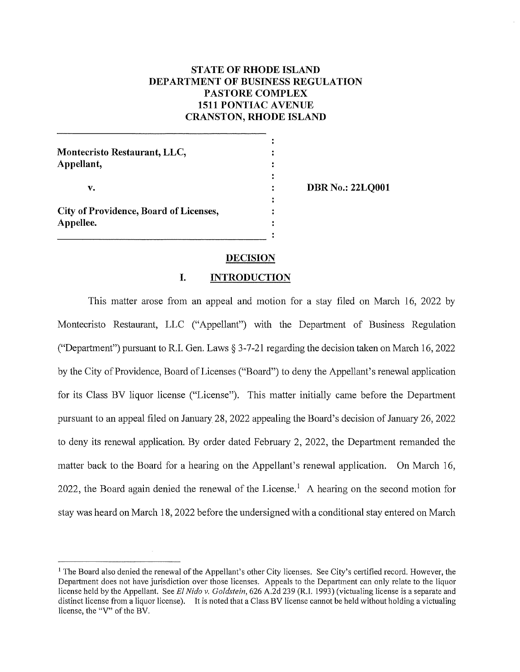# **STATE OF RHODE ISLAND DEPARTMENT OF BUSINESS REGULATION PASTORE COMPLEX 1511 PONTIAC A VENUE CRANSTON, RHODE ISLAND**

 $\ddot{\cdot}$  $\ddot{\cdot}$  $\ddot{\cdot}$  $\ddot{\cdot}$ 

 $\ddot{\phantom{a}}$  $\ddot{\cdot}$ 

| Appellant, | Montecristo Restaurant, LLC,           |  |
|------------|----------------------------------------|--|
| v.         |                                        |  |
| Appellee.  | City of Providence, Board of Licenses, |  |

**DBR No.: 22LQ001** 

### **DECISION**

### **I. INTRODUCTION**

This matter arose from an appeal and motion for a stay filed on March 16, 2022 by Montecristo Restaurant, LLC ("Appellant") with the Department of Business Regulation ("Department") pursuant to R.I. Gen. Laws  $\S 3$ -7-21 regarding the decision taken on March 16, 2022 by the City of Providence, Board of Licenses ("Board") to deny the Appellant's renewal application for its Class BV liquor license ("License"). This matter initially came before the Department pursuant to an appeal filed on January 28, 2022 appealing the Board's decision of January 26, 2022 to deny its renewal application. By order dated February 2, 2022, the Department remanded the matter back to the Board for a hearing on the Appellant's renewal application. On March 16, 2022, the Board again denied the renewal of the License.<sup>1</sup> A hearing on the second motion for stay was heard on March 18, 2022 before the undersigned with a conditional stay entered on March

 $<sup>1</sup>$  The Board also denied the renewal of the Appellant's other City licenses. See City's certified record. However, the</sup> Department does not have jurisdiction over those licenses. Appeals to the Department can only relate to the liquor license held by the Appellant. See *El Nido v. Goldstein,* 626 A.2d 239 (R.I. 1993) (victualing license is a separate and distinct license from a liquor license). It is noted that a Class BV license cannot be held without holding a victualing license, the "V" of the BV.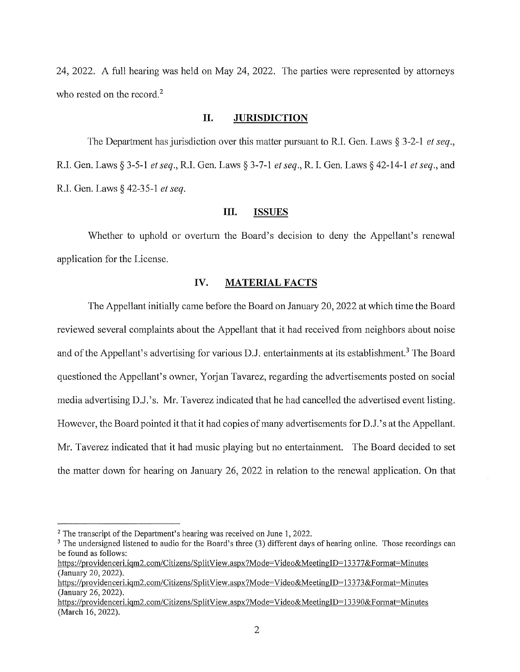24, 2022. A full hearing was held on May 24, 2022. The parties were represented by attorneys who rested on the record.<sup>2</sup>

## **II. JURISDICTION**

The Department has jurisdiction over this matter pursuant to R.I. Gen. Laws § 3-2-1 *et seq.*, R.I. Gen. Laws§ 3-5-1 *et seq.,* R.I. Gen. Laws§ 3-7-1 *et seq.,* R. I. Gen. Laws§ 42-14-1 *et seq.,* and R.I. Gen. Laws§ 42-35-1 *et seq.* 

# **III. ISSUES**

Whether to uphold or overturn the Board's decision to deny the Appellant's renewal application for the License.

## **IV. MATERIALFACTS**

The Appellant initially came before the Board on January 20, 2022 at which time the Board reviewed several complaints about the Appellant that it had received from neighbors about noise and of the Appellant's advertising for various D.J. entertainments at its establishment.<sup>3</sup> The Board questioned the Appellant's owner, Yorjan Tavarez, regarding the advertisements posted on social media advertising D.J.'s. Mr. Taverez indicated that he had cancelled the advertised event listing. However, the Board pointed it that it had copies of many advertisements for D.J.'s at the Appellant. Mr. Taverez indicated that it had music playing but no entertainment. The Board decided to set the matter down for hearing on January 26, 2022 in relation to the renewal application. On that

<sup>&</sup>lt;sup>2</sup> The transcript of the Department's hearing was received on June 1, 2022.<br><sup>3</sup> The undersigned listened to audio for the Board's three (3) different days of hearing online. Those recordings can be found as follows:

https://providenceri.iqm2.com/Citizens/SplitView.aspx?Mode=Video&MeetingID=l3377&Fonnat=Minutes (January 20, 2022).

https://providenceri.iqm2 .com/Citizens/SplitView .aspx?Mode=Video&MeetingID= 13 3 73&Fonnat=Minutes (January 26, 2022).

https://providenceri.iqm2.com/Citizens/SplitView.aspx?Mode=Video&MeetingID=13390&Format=Minutes (March 16, 2022).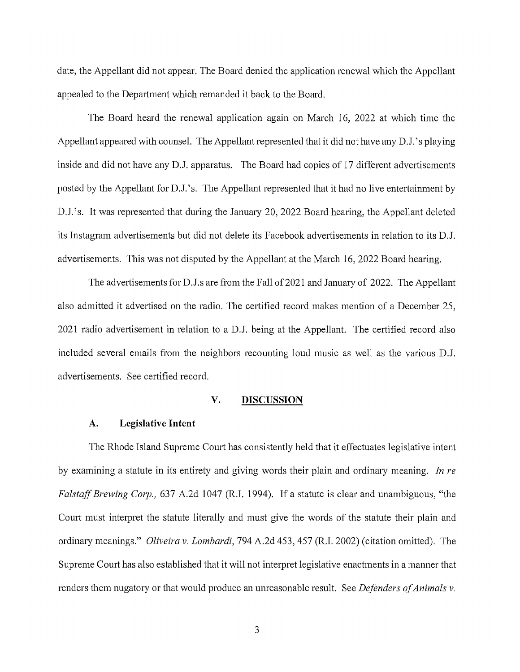date, the Appellant did not appear. The Board denied the application renewal which the Appellant appealed to the Department which remanded it back to the Board.

The Board heard the renewal application again on March 16, 2022 at which time the Appellant appeared with counsel. The Appellant represented that it did not have any  $D.J.'s$  playing inside and did not have any D.J. apparatus. The Board had copies of 17 different advertisements posted by the Appellant for D.J.'s. The Appellant represented that it had no live entertainment by D.J.'s. It was represented that during the January 20, 2022 Board hearing, the Appellant deleted its Instagram advertisements but did not delete its Facebook advertisements in relation to its D.J. advertisements. This was not disputed by the Appellant at the March 16, 2022 Board hearing.

The advertisements for D.J.s are from the Fall of 2021 and January of 2022. The Appellant also admitted it advertised on the radio. The certified record makes mention of a December 25, 2021 radio advertisement in relation to a D.J. being at the Appellant. The certified record also included several emails from the neighbors recounting loud music as well as the various D.J. advertisements. See certified record.

### **V. DISCUSSION**

#### **A. Legislative Intent**

The Rhode Island Supreme Court has consistently held that it effectuates legislative intent by examining a statute in its entirety and giving words their plain and ordinary meaning. *In re Falstaff Brewing Corp.,* 637 A.2d 1047 (R.I. 1994). If a statute is clear and unambiguous, "the Court must interpret the statute literally and must give the words of the statute their plain and ordinary meanings." *Oliveira v. Lombardi,* 794 A.2d 453, 457 (R.I. 2002) ( citation omitted). The Supreme Court has also established that it will not interpret legislative enactments in a manner that renders them nugatory or that would produce an unreasonable result. See *Defenders of Animals v.*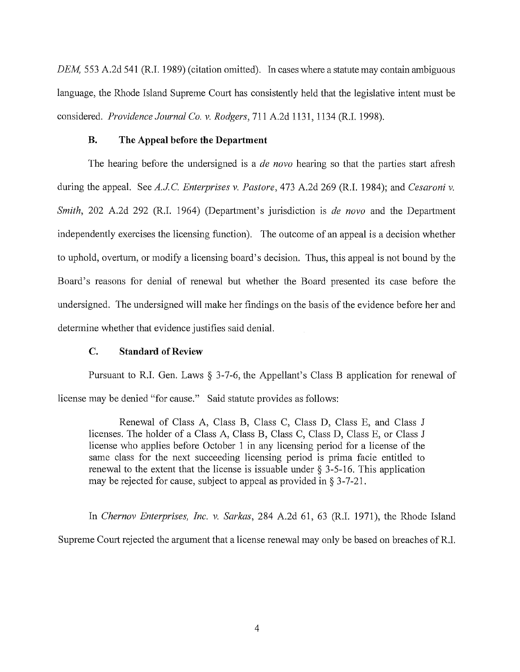DEM, 553 A.2d 541 (R.I. 1989) (citation omitted). In cases where a statute may contain ambiguous language, the Rhode Island Supreme Court has consistently held that the legislative intent must be considered. *Providence Journal Co. v. Rodgers,* 711 A.2d 1131, 1134 (R.I. 1998).

# **B. The Appeal before the Department**

The hearing before the undersigned is a *de nova* hearing so that the parties start afresh during the appeal. See *A.JC. Enterprises v. Pastore,* 473 A.2d 269 (R.I. 1984); and *Cesaroni v. Smith,* 202 A.2d 292 (R.I. 1964) (Department's jurisdiction is *de nova* and the Department independently exercises the licensing function). The outcome of an appeal is a decision whether to uphold, overtum, or modify a licensing board's decision. Thus, this appeal is not bound by the Board's reasons for denial of renewal but whether the Board presented its case before the undersigned. The undersigned will make her findings on the basis of the evidence before her and determine whether that evidence justifies said denial.

# **C. Standard of Review**

Pursuant to R.I. Gen. Laws § 3-7-6, the Appellant's Class B application for renewal of license may be denied "for cause." Said statute provides as follows:

Renewal of Class A, Class B, Class C, Class D, Class E, and Class J licenses. The holder of a Class A, Class B, Class C, Class D, Class E, or Class J license who applies before October 1 in any licensing period for a license of the same class for the next succeeding licensing period is prima facie entitled to renewal to the extent that the license is issuable under  $\S$  3-5-16. This application may be rejected for cause, subject to appeal as provided in§ 3-7-21.

In *Chernov Enterprises, Inc. v. Sarkas*, 284 A.2d 61, 63 (R.I. 1971), the Rhode Island Supreme Court rejected the argument that a license renewal may only be based on breaches of R.I.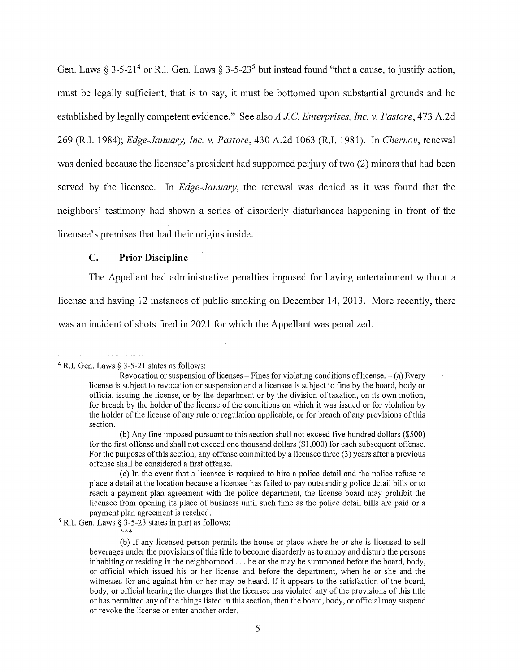Gen. Laws § 3-5-21<sup>4</sup> or R.I. Gen. Laws § 3-5-23<sup>5</sup> but instead found "that a cause, to justify action, must be legally sufficient, that is to say, it must be bottomed upon substantial grounds and be established by legally competent evidence." See also A.J.C. Enterprises, Inc. v. Pastore, 473 A.2d 269 (R.I. 1984); *Edge-January, Inc. v. Pastore,* 430 A.2d 1063 (R.I. 1981). In *Chernov,* renewal was denied because the licensee's president had supporned perjury of two (2) minors that had been served by the licensee. In *Edge-January,* the renewal was denied as it was found that the neighbors' testimony had shown a series of disorderly disturbances happening in front of the licensee's premises that had their origins inside.

# **C. Prior Discipline**

The Appellant had administrative penalties imposed for having entertainment without a license and having 12 instances of public smoking on December 14, 2013. More recently, there was an incident of shots fired in 2021 for which the Appellant was penalized.

 $4$  R.I. Gen. Laws § 3-5-21 states as follows:

Revocation or suspension of licenses – Fines for violating conditions of license.  $-(a)$  Every license is subject to revocation or suspension and a licensee is subject to fine by the board, body or official issuing the license, or by the department or by the division of taxation, on its own motion, for breach by the holder of the license of the conditions on which it was issued or for violation by the holder of the license of any rule or regulation applicable, or for breach of any provisions of this section.

<sup>(</sup>b) Any fine imposed pursuant to this section shall not exceed five hundred dollars (\$500) for the first offense and shall not exceed one thousand dollars (\$1,000) for each subsequent offense. For the purposes of this section, any offense committed by a licensee three (3) years after a previous offense shall be considered a first offense.

<sup>(</sup> c) In the event that a licensee is required to hire a police detail and the police refuse to place a detail at the location because a licensee has failed to pay outstanding police detail bills or to reach a payment plan agreement with the police department, the license board may prohibit the licensee from opening its place of business until such time as the police detail bills are paid or a payment plan agreement is reached.

 $<sup>5</sup>$  R.I. Gen. Laws § 3-5-23 states in part as follows:</sup> \*\*\*

<sup>(</sup>b) If any licensed person pennits the house or place where he or she is licensed to sell beverages under the provisions of this title to become disorderly as to annoy and disturb the persons inhabiting or residing in the neighborhood  $\dots$  he or she may be summoned before the board, body, or official which issued his or her license and before the department, when he or she and the witnesses for and against him or her may be heard. If it appears to the satisfaction of the board, body, or official hearing the charges that the licensee has violated any of the provisions of this title or has permitted any of the things listed in this section, then the board, body, or official may suspend or revoke the license or enter another order.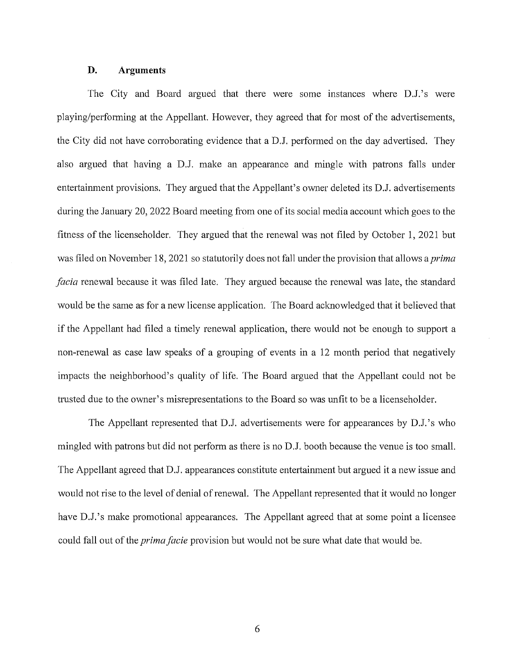## **D. Arguments**

The City and Board argued that there were some instances where DJ.'s were playing/performing at the Appellant. However, they agreed that for most of the advertisements, the City did not have corroborating evidence that a D.J. performed on the day advertised. They also argued that having a D.J. make an appearance and mingle with patrons falls under entertainment provisions. They argued that the Appellant's owner deleted its D.J. advertisements during the January 20, 2022 Board meeting from one of its social media account which goes to the fitness of the licenseholder. They argued that the renewal was not filed by October 1, 2021 but was filed on November 18, 2021 so statutorily does not fall under the provision that allows a *prima facia* renewal because it was filed late. They argued because the renewal was late, the standard would be the same as for a new license application. The Board acknowledged that it believed that if the Appellant had filed a timely renewal application, there would not be enough to support a non-renewal as case law speaks of a grouping of events in a 12 month period that negatively impacts the neighborhood's quality of life. The Board argued that the Appellant could not be trusted due to the owner's misrepresentations to the Board so was unfit to be a licenseholder.

The Appellant represented that D.J. advertisements were for appearances by D.J.'s who mingled with patrons but did not perform as there is no DJ. booth because the venue is too small. The Appellant agreed that D.J. appearances constitute entertainment but argued it a new issue and would not rise to the level of denial of renewal. The Appellant represented that it would no longer have D.J.'s make promotional appearances. The Appellant agreed that at some point a licensee could fall out of the *prima facie* provision but would not be sure what date that would be.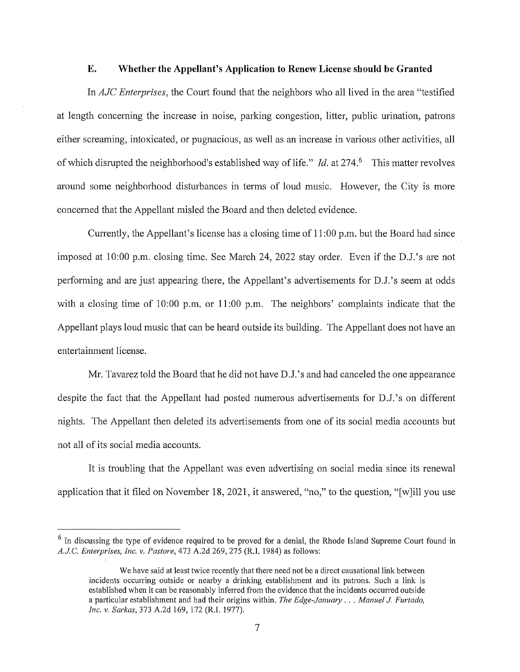#### **E. Whether the Appellant's Application to Renew License should be Granted**

In *AJC Enterprises*, the Court found that the neighbors who all lived in the area "testified" at length concerning the increase in noise, parking congestion, litter, public urination, patrons either screaming, intoxicated, or pugnacious, as well as an increase in various other activities, all of which disrupted the neighborhood's established way of life." *Id.* at 274.<sup>6</sup> This matter revolves around some neighborhood disturbances in terms of loud music. However, the City is more concerned that the Appellant misled the Board and then deleted evidence.

Currently, the Appellant's license has a closing time of 11 :00 p.m. but the Board had since imposed at 10:00 p.m. closing time. See March 24, 2022 stay order. Even if the D.J.'s are not performing and are just appearing there, the Appellant's advertisements for D.J.'s seem at odds with a closing time of 10:00 p.m. or 11:00 p.m. The neighbors' complaints indicate that the Appellant plays loud music that can be heard outside its building. The Appellant does not have an entertainment license.

Mr. Tavarez told the Board that he did not have D.J.'s and had canceled the one appearance despite the fact that the Appellant had posted numerous advertisements for D.J.'s on different nights. The Appellant then deleted its advertisements from one of its social media accounts but not all of its social media accounts.

It is troubling that the Appellant was even advertising on social media since its renewal application that it filed on November 18, 2021, it answered, "no," to the question, "[w]ill you use

<sup>&</sup>lt;sup>6</sup> In discussing the type of evidence required to be proved for a denial, the Rhode Island Supreme Court found in *A.JC. Enterprises, Inc. v. Pastore,* 473 A.2d 269,275 (R.I. 1984) as follows:

We have said at least twice recently that there need not be a direct causational link between incidents occurring outside or nearby a drinking establishment and its patrons. Such a link is established when it can be reasonably inferred from the evidence that the incidents occurred outside a particular establishment and had their origins within. *The Edge-January ... Manuel J. Furtado*, *Inc. v. Sarkas,* 373 A.2d 169, 172 (R.I. 1977).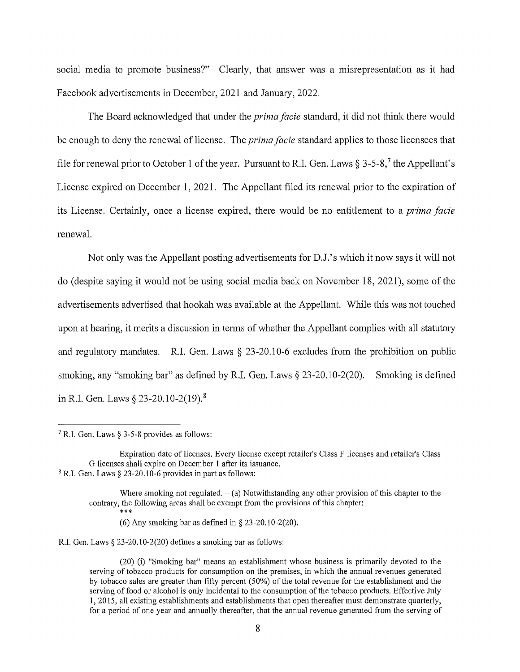social media to promote business?" Clearly, that answer was a misrepresentation as it had Facebook advertisements in December, 2021 and January, 2022.

The Board acknowledged that under the *prima facie* standard, it did not think there would be enough to deny the renewal of license. The *prima facie* standard applies to those licensees that file for renewal prior to October 1 of the year. Pursuant to R.I. Gen. Laws  $\S 3$ -5-8,<sup>7</sup> the Appellant's License expired on December 1, 2021. The Appellant filed its renewal prior to the expiration of its License. Certainly, once a license expired, there would be no entitlement to a *prima facie* renewal.

Not only was the Appellant posting advertisements for D.J.'s which it now says it will not do (despite saying it would not be using social media back on November 18, 2021), some of the advertisements advertised that hookah was available at the Appellant. While this was not touched upon at hearing, it merits a discussion in terms of whether the Appellant complies with all statutory and regulatory mandates. R.I. Gen. Laws § 23-20.10-6 excludes from the prohibition on public smoking, any "smoking bar" as defined by R.I. Gen. Laws§ 23-20.10-2(20). Smoking is defined in R.I. Gen. Laws§ 23-20.10-2(19). 8

R.I. Gen. Laws § 23-20.10-2(20) defines a smoking bar as follows:

<sup>&</sup>lt;sup>7</sup> R.I. Gen. Laws § 3-5-8 provides as follows:

Expiration date of licenses. Every license except retailer's Class F licenses and retailer's Class G licenses shall expire on December 1 after its issuance.  $8$  R.I. Gen. Laws  $§$  23-20.10-6 provides in part as follows:

Where smoking not regulated.  $-$  (a) Notwithstanding any other provision of this chapter to the contrary, the following areas shall be exempt from the provisions of this chapter:

<sup>\*\*\*</sup> 

<sup>(6)</sup> Any smoking bar as defined in  $\S 23-20.10-2(20)$ .

<sup>(20) (</sup>i) "Smoking bar" means an establishment whose business is primarily devoted to the serving of tobacco products for consumption on the premises, in which the annual revenues generated by tobacco sales are greater than fifty percent (50%) of the total revenue for the establishment and the serving of food or alcohol is only incidental to the consumption of the tobacco products. Effective July 1, 2015, all existing establishments and establishments that open thereafter must demonstrate quaiterly, for a period of one year and annually thereafter, that the annual revenue generated from the serving of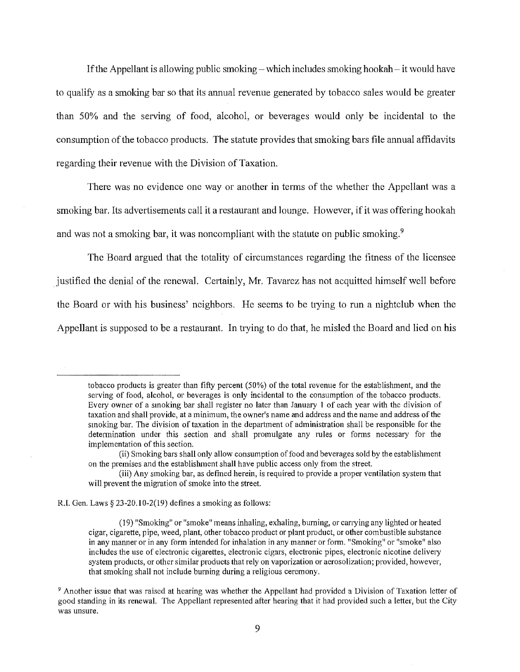If the Appellant is allowing public smoking  $-$  which includes smoking hookah $-$  it would have to qualify as a smoking bar so that its annual revenue generated by tobacco sales would be greater than 50% and the serving of food, alcohol, or beverages would only be incidental to the consumption of the tobacco products. The statute provides that smoking bars file annual affidavits regarding their revenue with the Division of Taxation.

There was no evidence one way or another in terms of the whether the Appellant was a smoking bar. Its advertisements call it a restaurant and lounge. However, if it was offering hookah and was not a smoking bar, it was noncompliant with the statute on public smoking.<sup>9</sup>

The Board argued that the totality of circumstances regarding the fitness of the licensee . justified the denial of the renewal. Certainly, Mr. Tavarez has not acquitted himself well before the Board or with his business' neighbors. He seems to be ttying to run a nightclub when the Appellant is supposed to be a restaurant. In tiying to do that, he misled the Board and lied on his

#### R.I. Gen. Laws § 23-20.10-2(19) defines a smoking as follows:

tobacco products is greater than fifty percent (50%) of the total revenue for the establishment, and the serving of food, alcohol, or beverages is only incidental to the consumption of the tobacco products. Every owner of a smoking bar shall register no later than January 1 of each year with the division of taxation and shall provide, at a minimum, the owner's name and address and the name and address of the smoking bar. The division of taxation in the department of administration shall be responsible for the determination under this section and shall promulgate any rules or fonns necessary for the implementation of this section.

<sup>(</sup>ii) Smoking bars shall only allow consumption of food and beverages sold by the establishment on the premises and the establishment shall have public access only from the street.

<sup>(</sup>iii) Any smoking bar, as defined herein, is required to provide a proper ventilation system that will prevent the migration of smoke into the street.

<sup>( 19) &</sup>quot;Smoking" or "smoke" means inhaling, exhaling, burning, or canying any lighted or heated cigar, cigarette, pipe, weed, plant, other tobacco product or plant product, or other combustible substance in any manner or in any form intended for inhalation in any manner or form. "Smoking" or "smoke" also includes the use of electronic cigarettes, electronic cigars, electronic pipes, electronic nicotine delivery system products, or other similar products that rely on vaporization or aerosolization; provided, however, that smoking shall not include burning during a religious ceremony.

<sup>9</sup>Another issue that was raised at hearing was whether the Appellant had provided a Division of Taxation letter of good standing in its renewal. The Appellant represented after hearing that it had provided such a letter, but the City was unsure.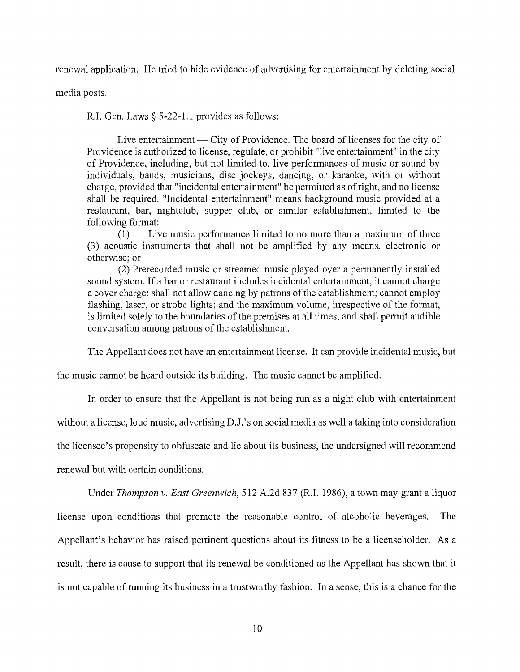renewal application. He tried to hide evidence of advertising for entertainment by deleting social

media posts.

R.I. Gen. Laws § 5-22-1.1 provides as follows:

Live entertainment  $-$  City of Providence. The board of licenses for the city of Providence is authorized to license, regulate, or prohibit "live entertainment" in the city of Providence, including, but not limited to, live performances of music or sound by individuals, bands, musicians, disc jockeys, dancing, or karaoke, with or without charge, provided that "incidental entertainment" be permitted as of right, and no license shall be required. "Incidental entertainment" means background music provided at a restaurant, bar, nightclub, supper club, or similar establishment, limited to the following format:

(1) Live music performance limited to no more than a maximum of three (3) acoustic instruments that shall not be amplified by any means, electronic or otherwise; or

(2) Prerecorded music or streamed music played over a pennanently installed sound system. If a bar or restaurant includes incidental entertainment, it cannot charge a cover charge; shall not allow dancing by patrons of the establishment; cannot employ flashing, laser, or strobe lights; and the maximum volume, irrespective of the format, is limited solely to the boundaries of the premises at all times, and shall permit audible conversation among patrons of the establishment.

The Appellant does not have an entertainment license. It can provide incidental music, but

the music cannot be heard outside its building. The music cannot be amplified.

In order to ensure that the Appellant is not being run as a night club with entertainment without a license, loud music, advertising  $D.J.'s$  on social media as well a taking into consideration the licensee's propensity to obfuscate and lie about its business, the undersigned will recommend renewal but with certain conditions.

Under *Thompson v. East Greenwich,* 512 A.2d 837 (R.I. 1986), a town may grant a liquor license upon conditions that promote the reasonable control of alcoholic beverages. The Appellant's behavior has raised pertinent questions about its fitness to be a licenseholder. As a result, there is cause to support that its renewal be conditioned as the Appellant has shown that it is not capable of running its business in a trustworthy fashion. In a sense, this is a chance for the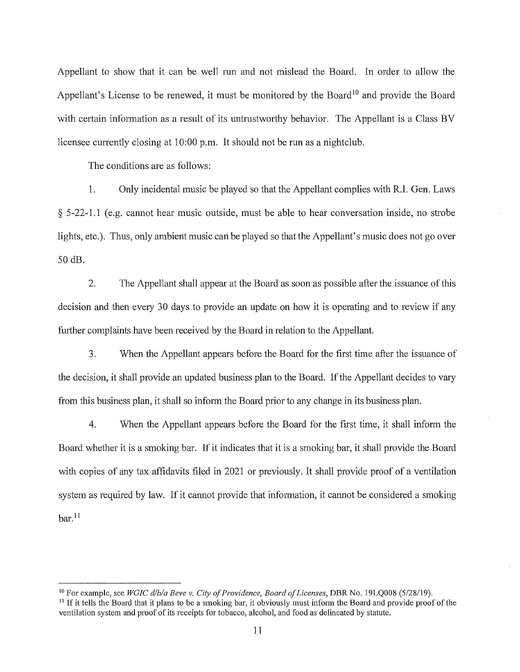Appellant to show that it can be well run and not mislead the Board. In order to allow the Appellant's License to be renewed, it must be monitored by the Board<sup>10</sup> and provide the Board with certain information as a result of its untrustworthy behavior. The Appellant is a Class BV licensee currently closing at 10:00 p.m. It should not be run as a nightclub.

The conditions are as follows:

1. Only incidental music be played so that the Appellant complies with R.I. Gen. Laws § 5-22-1.1 ( e.g. cannot hear music outside, must be able to hear conversation inside, no strobe lights, etc.). Thus, only ambient music can be played so that the Appellant's music does not go over 50 dB.

2. The Appellant shall appear at the Board as soon as possible after the issuance of this decision and then every 30 days to provide an update on how it is operating and to review if any further complaints have been received by the Board in relation to the Appellant.

3. When the Appellant appears before the Board for the first time after the issuance of the decision, it shall provide an updated business plan to the Board. If the Appellant decides to vaiy from this business plan, it shall so inform the Board prior to any change in its business plan.

4. When the Appellant appears before the Board for the first time, it shall inform the Board whether it is a smoking bar. If it indicates that it is a smoking bar, it shall provide the Board with copies of any tax affidavits filed in 2021 or previously. It shall provide proof of a ventilation system as required by law. If it cannot provide that information, it cannot be considered a smoking bar.<sup>11</sup>

<sup>&</sup>lt;sup>10</sup> For example, see *WGIC d/b/a Beve v. City of Providence, Board of Licenses*, DBR No. 19LQ008 (5/28/19).<br><sup>11</sup> If it tells the Board that it plans to be a smoking bar, it obviously must inform the Board and provide proo ventilation system and proof of its receipts for tobacco, alcohol, and food as delineated by statute.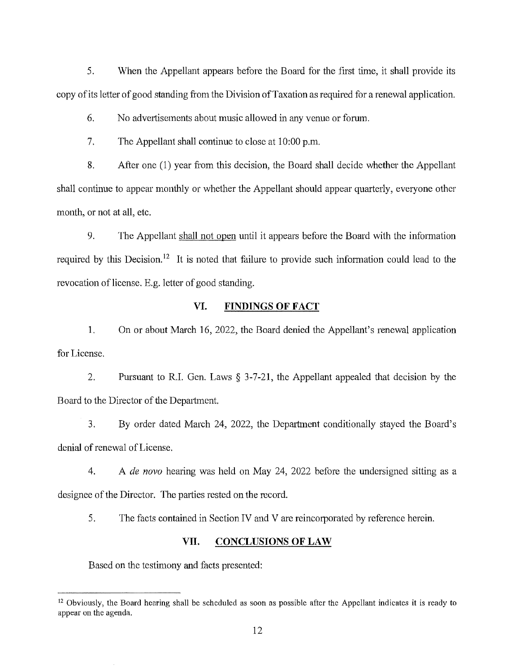5. When the Appellant appears before the Board for the first time, it shall provide its copy of its letter of good standing from the Division of Taxation as required for a renewal application.

6. No advertisements about music allowed in any venue or forum.

7. The Appellant shall continue to close at 10:00 p.m.

8. After one (1) year from this decision, the Board shall decide whether the Appellant shall continue to appear monthly or whether the Appellant should appear quarterly, everyone other month, or not at all, etc.

9. The Appellant shall not open until it appears before the Board with the information required by this Decision.<sup>12</sup> It is noted that failure to provide such information could lead to the revocation of license. E.g. letter of good standing.

## **VI. FINDINGS OF FACT**

1. On or about March 16, 2022, the Board denied the Appellant's renewal application for License.

2. Pursuant to R.I. Gen. Laws § 3-7-21, the Appellant appealed that decision by the Board to the Director of the Department.

3. By order dated March 24, 2022, the Department conditionally stayed the Board's denial of renewal of License.

4. A *de novo* hearing was held on May 24, 2022 before the undersigned sitting as a designee of the Director. The parties rested on the record.

5. The facts contained in Section IV and V are reincorporated by reference herein.

## **VII. CONCLUSIONS OF LAW**

Based on the testimony and facts presented:

<sup>&</sup>lt;sup>12</sup> Obviously, the Board hearing shall be scheduled as soon as possible after the Appellant indicates it is ready to appear on the agenda.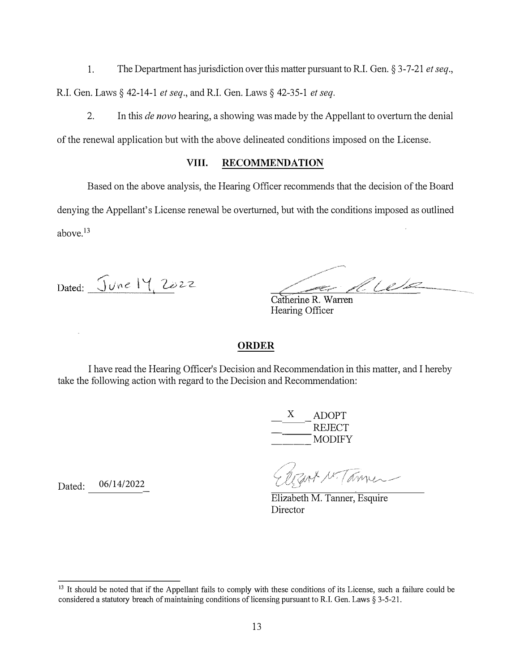1. The Department has jurisdiction over this matter pursuant to R.I. Gen.§ 3-7-21 *et seq.,*

R.I. Gen. Laws§ 42-14-1 *et seq.,* and R.I. Gen. Laws§ 42-35-1 *et seq.*

2. In this *de nova* hearing, a showing was made by the Appellant to overturn the denial of the renewal application but with the above delineated conditions imposed on the License.

## **VIII. RECOMMENDATION**

Based on the above analysis, the Hearing Officer recommends that the decision of the Board denying the Appellant's License renewal be overturned, but with the conditions imposed as outlined above.13

Dated: June 14, 2022

Dated: 06/14/2022

alesa **Barrett Barbon Barnett Starter Barnett Starter Starter Barnett Starter Starter Barnett Starter Starter Starter**<br>1980 - Paul Barnett Starter Starter Starter Starter Starter Starter Starter Starter Starter Starter Starter S

Catherine R. Warren Hearing Officer

## **ORDER**

I have read the Hearing Officer's Decision and Recommendation in this matter, and I hereby take the following action with regard to the Decision and Recommendation:

> ADOPT REJECT MODIFY X

ant M. Tanner

Elizabeth M. Tanner, Esquire Director

<sup>&</sup>lt;sup>13</sup> It should be noted that if the Appellant fails to comply with these conditions of its License, such a failure could be considered a statutory breach of maintaining conditions of licensing pursuant to R.I. Gen. Laws  $\S 3-5-21$ .